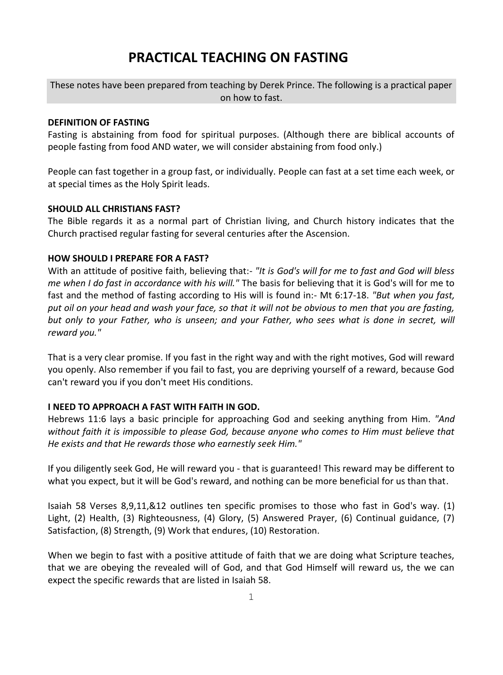# **PRACTICAL TEACHING ON FASTING**

These notes have been prepared from teaching by Derek Prince. The following is a practical paper on how to fast.

### **DEFINITION OF FASTING**

Fasting is abstaining from food for spiritual purposes. (Although there are biblical accounts of people fasting from food AND water, we will consider abstaining from food only.)

People can fast together in a group fast, or individually. People can fast at a set time each week, or at special times as the Holy Spirit leads.

### **SHOULD ALL CHRISTIANS FAST?**

The Bible regards it as a normal part of Christian living, and Church history indicates that the Church practised regular fasting for several centuries after the Ascension.

#### **HOW SHOULD I PREPARE FOR A FAST?**

With an attitude of positive faith, believing that:- *"It is God's will for me to fast and God will bless me when I do fast in accordance with his will."* The basis for believing that it is God's will for me to fast and the method of fasting according to His will is found in:- Mt 6:17-18. *"But when you fast, put oil on your head and wash your face, so that it will not be obvious to men that you are fasting, but only to your Father, who is unseen; and your Father, who sees what is done in secret, will reward you."*

That is a very clear promise. If you fast in the right way and with the right motives, God will reward you openly. Also remember if you fail to fast, you are depriving yourself of a reward, because God can't reward you if you don't meet His conditions.

### **I NEED TO APPROACH A FAST WITH FAITH IN GOD.**

Hebrews 11:6 lays a basic principle for approaching God and seeking anything from Him. *"And without faith it is impossible to please God, because anyone who comes to Him must believe that He exists and that He rewards those who earnestly seek Him."*

If you diligently seek God, He will reward you - that is guaranteed! This reward may be different to what you expect, but it will be God's reward, and nothing can be more beneficial for us than that.

Isaiah 58 Verses 8,9,11,&12 outlines ten specific promises to those who fast in God's way. (1) Light, (2) Health, (3) Righteousness, (4) Glory, (5) Answered Prayer, (6) Continual guidance, (7) Satisfaction, (8) Strength, (9) Work that endures, (10) Restoration.

When we begin to fast with a positive attitude of faith that we are doing what Scripture teaches, that we are obeying the revealed will of God, and that God Himself will reward us, the we can expect the specific rewards that are listed in Isaiah 58.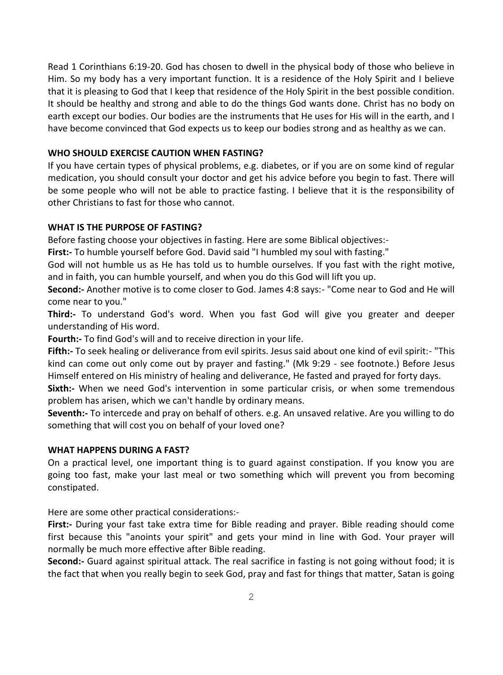Read 1 Corinthians 6:19-20. God has chosen to dwell in the physical body of those who believe in Him. So my body has a very important function. It is a residence of the Holy Spirit and I believe that it is pleasing to God that I keep that residence of the Holy Spirit in the best possible condition. It should be healthy and strong and able to do the things God wants done. Christ has no body on earth except our bodies. Our bodies are the instruments that He uses for His will in the earth, and I have become convinced that God expects us to keep our bodies strong and as healthy as we can.

# **WHO SHOULD EXERCISE CAUTION WHEN FASTING?**

If you have certain types of physical problems, e.g. diabetes, or if you are on some kind of regular medication, you should consult your doctor and get his advice before you begin to fast. There will be some people who will not be able to practice fasting. I believe that it is the responsibility of other Christians to fast for those who cannot.

# **WHAT IS THE PURPOSE OF FASTING?**

Before fasting choose your objectives in fasting. Here are some Biblical objectives:-

**First:-** To humble yourself before God. David said "I humbled my soul with fasting."

God will not humble us as He has told us to humble ourselves. If you fast with the right motive, and in faith, you can humble yourself, and when you do this God will lift you up.

**Second:-** Another motive is to come closer to God. James 4:8 says:- "Come near to God and He will come near to you."

**Third:-** To understand God's word. When you fast God will give you greater and deeper understanding of His word.

**Fourth:-** To find God's will and to receive direction in your life.

**Fifth:-** To seek healing or deliverance from evil spirits. Jesus said about one kind of evil spirit:- "This kind can come out only come out by prayer and fasting." (Mk 9:29 - see footnote.) Before Jesus Himself entered on His ministry of healing and deliverance, He fasted and prayed for forty days.

**Sixth:-** When we need God's intervention in some particular crisis, or when some tremendous problem has arisen, which we can't handle by ordinary means.

**Seventh:-** To intercede and pray on behalf of others. e.g. An unsaved relative. Are you willing to do something that will cost you on behalf of your loved one?

# **WHAT HAPPENS DURING A FAST?**

On a practical level, one important thing is to guard against constipation. If you know you are going too fast, make your last meal or two something which will prevent you from becoming constipated.

Here are some other practical considerations:-

**First:-** During your fast take extra time for Bible reading and prayer. Bible reading should come first because this "anoints your spirit" and gets your mind in line with God. Your prayer will normally be much more effective after Bible reading.

**Second:-** Guard against spiritual attack. The real sacrifice in fasting is not going without food; it is the fact that when you really begin to seek God, pray and fast for things that matter, Satan is going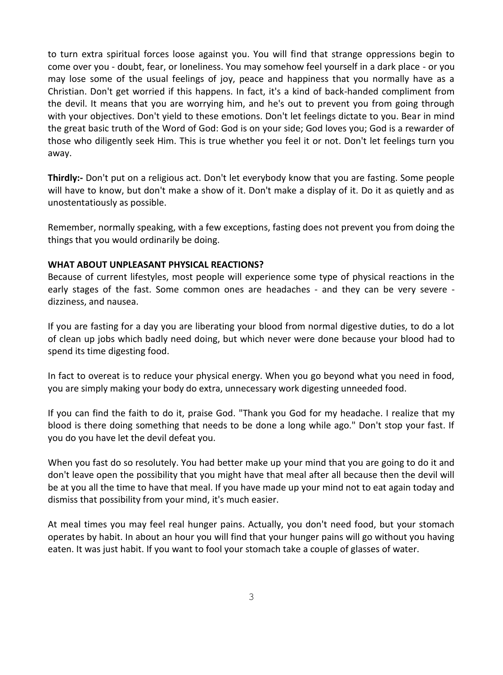to turn extra spiritual forces loose against you. You will find that strange oppressions begin to come over you - doubt, fear, or loneliness. You may somehow feel yourself in a dark place - or you may lose some of the usual feelings of joy, peace and happiness that you normally have as a Christian. Don't get worried if this happens. In fact, it's a kind of back-handed compliment from the devil. It means that you are worrying him, and he's out to prevent you from going through with your objectives. Don't yield to these emotions. Don't let feelings dictate to you. Bear in mind the great basic truth of the Word of God: God is on your side; God loves you; God is a rewarder of those who diligently seek Him. This is true whether you feel it or not. Don't let feelings turn you away.

**Thirdly:-** Don't put on a religious act. Don't let everybody know that you are fasting. Some people will have to know, but don't make a show of it. Don't make a display of it. Do it as quietly and as unostentatiously as possible.

Remember, normally speaking, with a few exceptions, fasting does not prevent you from doing the things that you would ordinarily be doing.

### **WHAT ABOUT UNPLEASANT PHYSICAL REACTIONS?**

Because of current lifestyles, most people will experience some type of physical reactions in the early stages of the fast. Some common ones are headaches - and they can be very severe dizziness, and nausea.

If you are fasting for a day you are liberating your blood from normal digestive duties, to do a lot of clean up jobs which badly need doing, but which never were done because your blood had to spend its time digesting food.

In fact to overeat is to reduce your physical energy. When you go beyond what you need in food, you are simply making your body do extra, unnecessary work digesting unneeded food.

If you can find the faith to do it, praise God. "Thank you God for my headache. I realize that my blood is there doing something that needs to be done a long while ago." Don't stop your fast. If you do you have let the devil defeat you.

When you fast do so resolutely. You had better make up your mind that you are going to do it and don't leave open the possibility that you might have that meal after all because then the devil will be at you all the time to have that meal. If you have made up your mind not to eat again today and dismiss that possibility from your mind, it's much easier.

At meal times you may feel real hunger pains. Actually, you don't need food, but your stomach operates by habit. In about an hour you will find that your hunger pains will go without you having eaten. It was just habit. If you want to fool your stomach take a couple of glasses of water.